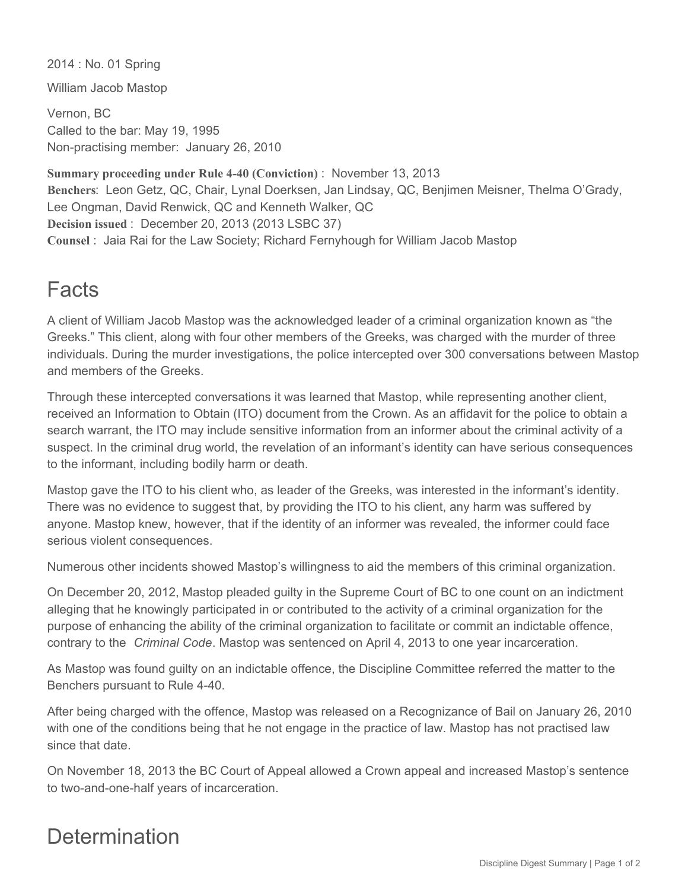2014 : No. 01 Spring

William Jacob Mastop

Vernon, BC Called to the bar: May 19, 1995 Non-practising member: January 26, 2010

**Summary proceeding under Rule 4-40 (Conviction)** : November 13, 2013 **Benchers**: Leon Getz, QC, Chair, Lynal Doerksen, Jan Lindsay, QC, Benjimen Meisner, Thelma O'Grady, Lee Ongman, David Renwick, QC and Kenneth Walker, QC **Decision issued** : December 20, 2013 (2013 LSBC 37) **Counsel** : Jaia Rai for the Law Society; Richard Fernyhough for William Jacob Mastop

## Facts

A client of William Jacob Mastop was the acknowledged leader of a criminal organization known as "the Greeks." This client, along with four other members of the Greeks, was charged with the murder of three individuals. During the murder investigations, the police intercepted over 300 conversations between Mastop and members of the Greeks.

Through these intercepted conversations it was learned that Mastop, while representing another client, received an Information to Obtain (ITO) document from the Crown. As an affidavit for the police to obtain a search warrant, the ITO may include sensitive information from an informer about the criminal activity of a suspect. In the criminal drug world, the revelation of an informant's identity can have serious consequences to the informant, including bodily harm or death.

Mastop gave the ITO to his client who, as leader of the Greeks, was interested in the informant's identity. There was no evidence to suggest that, by providing the ITO to his client, any harm was suffered by anyone. Mastop knew, however, that if the identity of an informer was revealed, the informer could face serious violent consequences.

Numerous other incidents showed Mastop's willingness to aid the members of this criminal organization.

On December 20, 2012, Mastop pleaded guilty in the Supreme Court of BC to one count on an indictment alleging that he knowingly participated in or contributed to the activity of a criminal organization for the purpose of enhancing the ability of the criminal organization to facilitate or commit an indictable offence, contrary to the *Criminal Code*. Mastop was sentenced on April 4, 2013 to one year incarceration.

As Mastop was found guilty on an indictable offence, the Discipline Committee referred the matter to the Benchers pursuant to Rule 4-40.

After being charged with the offence, Mastop was released on a Recognizance of Bail on January 26, 2010 with one of the conditions being that he not engage in the practice of law. Mastop has not practised law since that date.

On November 18, 2013 the BC Court of Appeal allowed a Crown appeal and increased Mastop's sentence to two-and-one-half years of incarceration.

## **Determination**